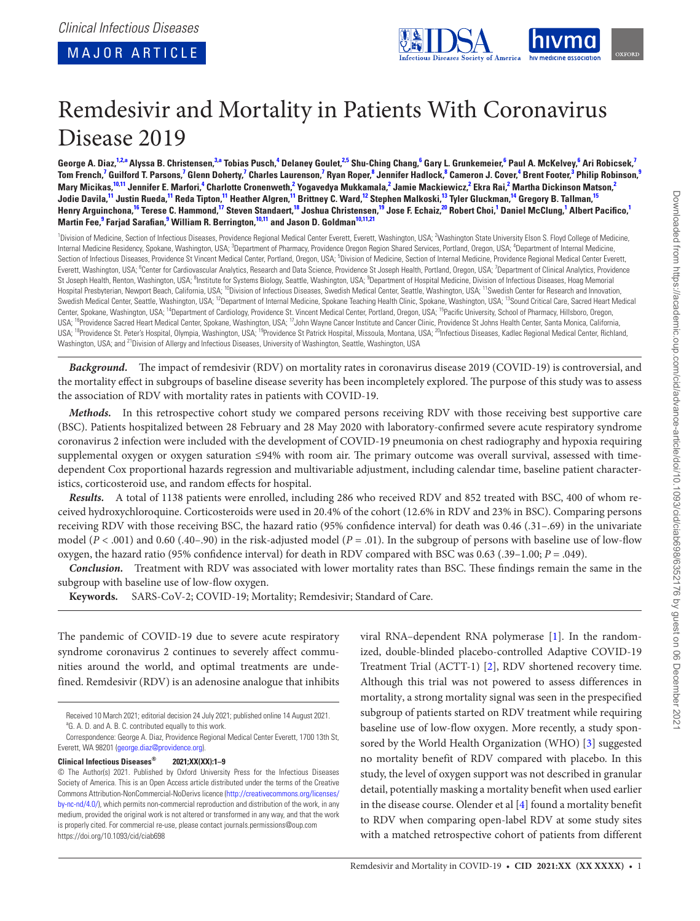<span id="page-0-20"></span><span id="page-0-13"></span><span id="page-0-11"></span><span id="page-0-9"></span><span id="page-0-4"></span>

# Remdesivir and Mortality in Patients With Coronavirus Disease 2019

George A. Diaz,<sup>[1](#page-0-0)[,2,](#page-0-1)[a](#page-0-2)</sup> Alyssa B. Christensen,<sup>[3](#page-0-3),a</sup> Tobias Pusch,<sup>[4](#page-0-4)</sup> Delaney Goulet,<sup>[2,](#page-0-1)[5](#page-0-5)</sup> Shu-Ching Chang,<sup>[6](#page-0-6)</sup> Gary L. Grunkemeier,<sup>6</sup> Paul A. McKelvey,<sup>6</sup> Ari Robicsek,<sup>[7](#page-0-7)</sup> Tom French,<sup>[7](#page-0-7)</sup> Guilford T. Parsons,<sup>7</sup> Glenn Doherty,<sup>7</sup> Charles Laurenson,<sup>7</sup> Ryan Roper,<sup>[8](#page-0-8)</sup> Jennifer Hadlock,<sup>8</sup> Cameron J. Cover,<sup>[4](#page-0-4)</sup> Brent Footer,<sup>[3](#page-0-3)</sup> Philip Robinson,<sup>[9](#page-0-9)</sup> Mary Micikas,<sup>[10,](#page-0-10)11</sup> Jennifer E. Marfori,<sup>[4](#page-0-4)</sup> Charlotte Cronenweth,<sup>[2](#page-0-1)</sup> Yogavedya Mukkamala,<sup>2</sup> Jamie Mackiewicz,<sup>2</sup> Ekra Rai,<sup>2</sup> Martha Dickinson Matson,<sup>2</sup> Jodie Davila,<sup>[11](#page-0-11)</sup> Justin Rueda,<sup>11</sup> Reda Tipton,<sup>11</sup> Heather Algren,<sup>11</sup> Brittney C. Ward,<sup>[12](#page-0-12)</sup> Stephen Malkoski,<sup>13</sup> Tyler Gluckman,<sup>[14](#page-0-14)</sup> Gregory B. Tallman,<sup>[15](#page-0-15)</sup> Henry Arguinchona,<sup>[16](#page-0-16)</sup> Terese C. Hammond,<sup>[17](#page-0-17)</sup> Steven Standaert,<sup>[18](#page-0-18)</sup> Joshua Christensen,<sup>[19](#page-0-19)</sup> Jose F. Echaiz,<sup>20</sup> Robert Choi,<sup>[1](#page-0-0)</sup> Daniel McClung,<sup>1</sup> Albert Pacifico,<sup>1</sup> **Martin Fee, [9](#page-0-9) Farjad Sarafian, [9](#page-0-9) William R. Berrington, [10](#page-0-10)[,11](#page-0-11) and Jason D. Goldma[n10,](#page-0-10)[11,](#page-0-11)[21](#page-0-21)**

<span id="page-0-12"></span><span id="page-0-10"></span><span id="page-0-8"></span><span id="page-0-7"></span><span id="page-0-6"></span><span id="page-0-5"></span><span id="page-0-3"></span><span id="page-0-1"></span><span id="page-0-0"></span><sup>1</sup>Division of Medicine, Section of Infectious Diseases, Providence Regional Medical Center Everett, Everett, Washington, USA; <sup>2</sup>Washington State University Elson S. Floyd College of Medicine, Internal Medicine Residency, Spokane, Washington, USA; <sup>3</sup>Department of Pharmacy, Providence Oregon Region Shared Services, Portland, Oregon, USA; <sup>4</sup>Department of Internal Medicine, Section of Infectious Diseases, Providence St Vincent Medical Center, Portland, Oregon, USA; <sup>5</sup>Division of Medicine, Section of Internal Medicine, Providence Regional Medical Center Everett, Everett, Washington, USA; <sup>6</sup>Center for Cardiovascular Analytics, Research and Data Science, Providence St Joseph Health, Portland, Oregon, USA; <sup>7</sup>Department of Clinical Analytics, Providence St Joseph Health, Renton, Washington, USA; <sup>8</sup>Institute for Systems Biology, Seattle, Washington, USA; <sup>9</sup>Department of Hospital Medicine, Division of Infectious Diseases, Hoag Memorial Hospital Presbyterian, Newport Beach, California, USA; <sup>10</sup>Division of Infectious Diseases, Swedish Medical Center, Seattle, Washington, USA; <sup>11</sup>Swedish Center for Research and Innovation, Swedish Medical Center, Seattle, Washington, USA; <sup>12</sup>Department of Internal Medicine, Spokane Teaching Health Clinic, Spokane, Washington, USA; <sup>13</sup>Sound Critical Care, Sacred Heart Medical Center, Spokane, Washington, USA; <sup>14</sup>Department of Cardiology, Providence St. Vincent Medical Center, Portland, Oregon, USA; <sup>15</sup>Pacific University, School of Pharmacy, Hillsboro, Oregon, USA; <sup>16</sup>Providence Sacred Heart Medical Center, Spokane, Washington, USA; <sup>17</sup>John Wayne Cancer Institute and Cancer Clinic, Providence St Johns Health Center, Santa Monica, California, USA; <sup>18</sup>Providence St. Peter's Hospital, Olympia, Washington, USA; <sup>19</sup>Providence St Patrick Hospital, Missoula, Montana, USA; <sup>20</sup>Infectious Diseases, Kadlec Regional Medical Center, Richland, Washington, USA; and <sup>21</sup>Division of Allergy and Infectious Diseases, University of Washington, Seattle, Washington, USA

<span id="page-0-21"></span><span id="page-0-19"></span><span id="page-0-18"></span><span id="page-0-17"></span><span id="page-0-16"></span><span id="page-0-15"></span><span id="page-0-14"></span>*Background.* The impact of remdesivir (RDV) on mortality rates in coronavirus disease 2019 (COVID-19) is controversial, and the mortality effect in subgroups of baseline disease severity has been incompletely explored. The purpose of this study was to assess the association of RDV with mortality rates in patients with COVID-19.

*Methods.* In this retrospective cohort study we compared persons receiving RDV with those receiving best supportive care (BSC). Patients hospitalized between 28 February and 28 May 2020 with laboratory-confirmed severe acute respiratory syndrome coronavirus 2 infection were included with the development of COVID-19 pneumonia on chest radiography and hypoxia requiring supplemental oxygen or oxygen saturation ≤94% with room air. The primary outcome was overall survival, assessed with timedependent Cox proportional hazards regression and multivariable adjustment, including calendar time, baseline patient characteristics, corticosteroid use, and random effects for hospital.

*Results.* A total of 1138 patients were enrolled, including 286 who received RDV and 852 treated with BSC, 400 of whom received hydroxychloroquine. Corticosteroids were used in 20.4% of the cohort (12.6% in RDV and 23% in BSC). Comparing persons receiving RDV with those receiving BSC, the hazard ratio (95% confidence interval) for death was 0.46 (.31–.69) in the univariate model (*P* < .001) and 0.60 (.40–.90) in the risk-adjusted model (*P* = .01). In the subgroup of persons with baseline use of low-flow oxygen, the hazard ratio (95% confidence interval) for death in RDV compared with BSC was 0.63 (.39–1.00; *P* = .049).

*Conclusion.* Treatment with RDV was associated with lower mortality rates than BSC. These findings remain the same in the subgroup with baseline use of low-flow oxygen.

**Keywords.** SARS-CoV-2; COVID-19; Mortality; Remdesivir; Standard of Care.

The pandemic of COVID-19 due to severe acute respiratory syndrome coronavirus 2 continues to severely affect communities around the world, and optimal treatments are undefined. Remdesivir (RDV) is an adenosine analogue that inhibits

**Clinical Infectious Diseases® 2021;XX(XX):1–9**

viral RNA–dependent RNA polymerase [\[1\]](#page-8-0). In the randomized, double-blinded placebo-controlled Adaptive COVID-19 Treatment Trial (ACTT-1) [[2](#page-8-1)], RDV shortened recovery time. Although this trial was not powered to assess differences in mortality, a strong mortality signal was seen in the prespecified subgroup of patients started on RDV treatment while requiring baseline use of low-flow oxygen. More recently, a study sponsored by the World Health Organization (WHO) [[3](#page-8-2)] suggested no mortality benefit of RDV compared with placebo. In this study, the level of oxygen support was not described in granular detail, potentially masking a mortality benefit when used earlier in the disease course. Olender et al [[4](#page-8-3)] found a mortality benefit to RDV when comparing open-label RDV at some study sites with a matched retrospective cohort of patients from different

<span id="page-0-2"></span>Received 10 March 2021; editorial decision 24 July 2021; published online 14 August 2021. <sup>a</sup>G. A. D. and A. B. C. contributed equally to this work.

Correspondence: George A. Diaz, Providence Regional Medical Center Everett, 1700 13th St, Everett, WA 98201 ([george.diaz@providence.org\)](mailto:george.diaz@providence.org?subject=).

<sup>©</sup> The Author(s) 2021. Published by Oxford University Press for the Infectious Diseases Society of America. This is an Open Access article distributed under the terms of the Creative Commons Attribution-NonCommercial-NoDerivs licence [\(http://creativecommons.org/licenses/](http://creativecommons.org/licenses/by-nc-nd/4.0/) [by-nc-nd/4.0/](http://creativecommons.org/licenses/by-nc-nd/4.0/)), which permits non-commercial reproduction and distribution of the work, in any medium, provided the original work is not altered or transformed in any way, and that the work is properly cited. For commercial re-use, please contact journals.permissions@oup.com <https://doi.org/10.1093/cid/ciab698>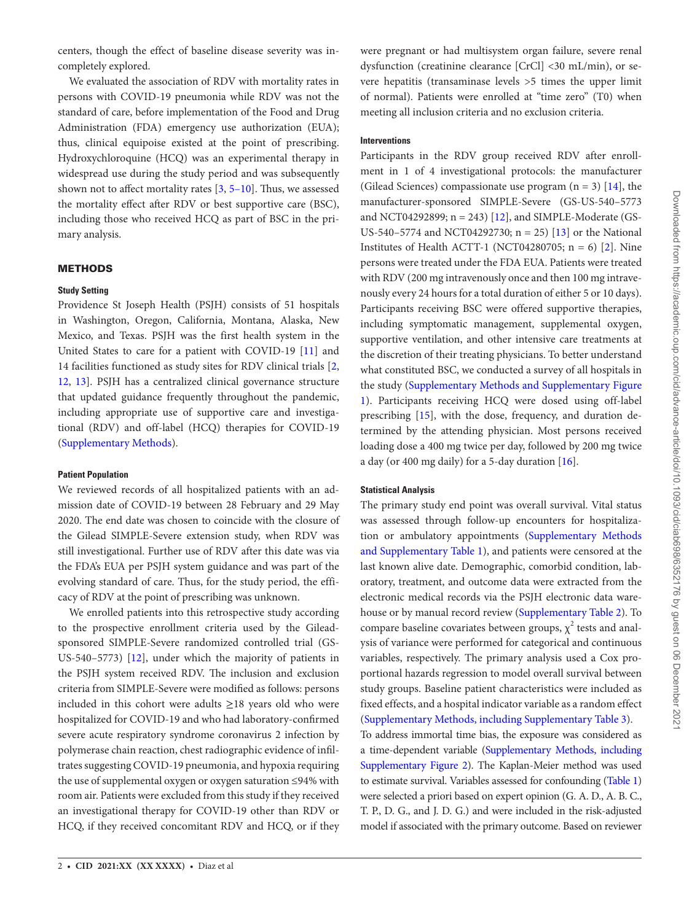centers, though the effect of baseline disease severity was incompletely explored.

We evaluated the association of RDV with mortality rates in persons with COVID-19 pneumonia while RDV was not the standard of care, before implementation of the Food and Drug Administration (FDA) emergency use authorization (EUA); thus, clinical equipoise existed at the point of prescribing. Hydroxychloroquine (HCQ) was an experimental therapy in widespread use during the study period and was subsequently shown not to affect mortality rates [\[3](#page-8-2), [5](#page-8-4)[–10](#page-8-5)]. Thus, we assessed the mortality effect after RDV or best supportive care (BSC), including those who received HCQ as part of BSC in the primary analysis.

## METHODS

## **Study Setting**

Providence St Joseph Health (PSJH) consists of 51 hospitals in Washington, Oregon, California, Montana, Alaska, New Mexico, and Texas. PSJH was the first health system in the United States to care for a patient with COVID-19 [[11\]](#page-8-6) and 14 facilities functioned as study sites for RDV clinical trials [\[2,](#page-8-1) [12](#page-8-7), [13](#page-8-8)]. PSJH has a centralized clinical governance structure that updated guidance frequently throughout the pandemic, including appropriate use of supportive care and investigational (RDV) and off-label (HCQ) therapies for COVID-19 [\(Supplementary Methods\)](http://academic.oup.com/cid/article-lookup/doi/10.1093/cid/ciab698#supplementary-data).

## **Patient Population**

We reviewed records of all hospitalized patients with an admission date of COVID-19 between 28 February and 29 May 2020. The end date was chosen to coincide with the closure of the Gilead SIMPLE-Severe extension study, when RDV was still investigational. Further use of RDV after this date was via the FDA's EUA per PSJH system guidance and was part of the evolving standard of care. Thus, for the study period, the efficacy of RDV at the point of prescribing was unknown.

We enrolled patients into this retrospective study according to the prospective enrollment criteria used by the Gileadsponsored SIMPLE-Severe randomized controlled trial (GS-US-540–5773) [\[12](#page-8-7)], under which the majority of patients in the PSJH system received RDV. The inclusion and exclusion criteria from SIMPLE-Severe were modified as follows: persons included in this cohort were adults ≥18 years old who were hospitalized for COVID-19 and who had laboratory-confirmed severe acute respiratory syndrome coronavirus 2 infection by polymerase chain reaction, chest radiographic evidence of infiltrates suggesting COVID-19 pneumonia, and hypoxia requiring the use of supplemental oxygen or oxygen saturation ≤94% with room air. Patients were excluded from this study if they received an investigational therapy for COVID-19 other than RDV or HCQ, if they received concomitant RDV and HCQ, or if they were pregnant or had multisystem organ failure, severe renal dysfunction (creatinine clearance [CrCl] <30 mL/min), or severe hepatitis (transaminase levels >5 times the upper limit of normal). Patients were enrolled at "time zero" (T0) when meeting all inclusion criteria and no exclusion criteria.

## **Interventions**

Participants in the RDV group received RDV after enrollment in 1 of 4 investigational protocols: the manufacturer (Gilead Sciences) compassionate use program  $(n = 3)$  [[14\]](#page-8-9), the manufacturer-sponsored SIMPLE-Severe (GS-US-540–5773 and NCT04292899; n = 243) [[12\]](#page-8-7), and SIMPLE-Moderate (GS-US-540–5774 and NCT04292730;  $n = 25$  [[13\]](#page-8-8) or the National Institutes of Health ACTT-1 (NCT04280705;  $n = 6$ ) [\[2\]](#page-8-1). Nine persons were treated under the FDA EUA. Patients were treated with RDV (200 mg intravenously once and then 100 mg intravenously every 24 hours for a total duration of either 5 or 10 days). Participants receiving BSC were offered supportive therapies, including symptomatic management, supplemental oxygen, supportive ventilation, and other intensive care treatments at the discretion of their treating physicians. To better understand what constituted BSC, we conducted a survey of all hospitals in the study [\(Supplementary Methods and Supplementary Figure](http://academic.oup.com/cid/article-lookup/doi/10.1093/cid/ciab698#supplementary-data)  [1\)](http://academic.oup.com/cid/article-lookup/doi/10.1093/cid/ciab698#supplementary-data). Participants receiving HCQ were dosed using off-label prescribing [[15](#page-8-10)], with the dose, frequency, and duration determined by the attending physician. Most persons received loading dose a 400 mg twice per day, followed by 200 mg twice a day (or 400 mg daily) for a 5-day duration [[16\]](#page-8-11).

## **Statistical Analysis**

The primary study end point was overall survival. Vital status was assessed through follow-up encounters for hospitalization or ambulatory appointments ([Supplementary Methods](http://academic.oup.com/cid/article-lookup/doi/10.1093/cid/ciab698#supplementary-data)  [and Supplementary Table 1\)](http://academic.oup.com/cid/article-lookup/doi/10.1093/cid/ciab698#supplementary-data), and patients were censored at the last known alive date. Demographic, comorbid condition, laboratory, treatment, and outcome data were extracted from the electronic medical records via the PSJH electronic data warehouse or by manual record review ([Supplementary Table 2](http://academic.oup.com/cid/article-lookup/doi/10.1093/cid/ciab698#supplementary-data)). To compare baseline covariates between groups,  $\chi^2$  tests and analysis of variance were performed for categorical and continuous variables, respectively. The primary analysis used a Cox proportional hazards regression to model overall survival between study groups. Baseline patient characteristics were included as fixed effects, and a hospital indicator variable as a random effect [\(Supplementary Methods, including Supplementary Table 3\)](http://academic.oup.com/cid/article-lookup/doi/10.1093/cid/ciab698#supplementary-data). To address immortal time bias, the exposure was considered as a time-dependent variable [\(Supplementary Methods, including](http://academic.oup.com/cid/article-lookup/doi/10.1093/cid/ciab698#supplementary-data) 

[Supplementary Figure 2\)](http://academic.oup.com/cid/article-lookup/doi/10.1093/cid/ciab698#supplementary-data). The Kaplan-Meier method was used to estimate survival. Variables assessed for confounding [\(Table 1\)](#page-2-0) were selected a priori based on expert opinion (G. A. D., A. B. C., T. P., D. G., and J. D. G.) and were included in the risk-adjusted model if associated with the primary outcome. Based on reviewer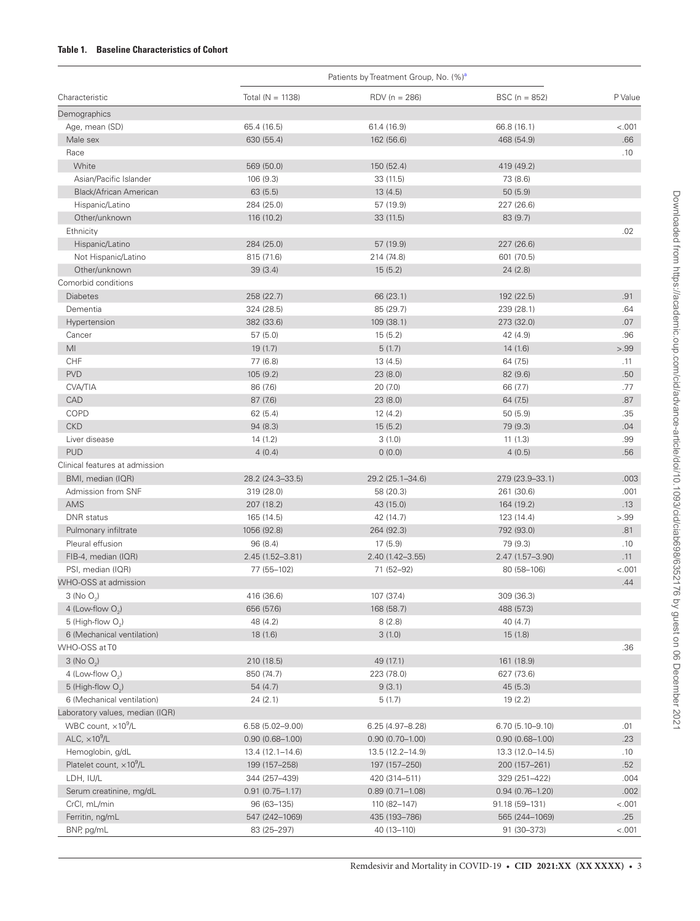# <span id="page-2-0"></span>**Table 1. Baseline Characteristics of Cohort**

|                                  | Patients by Treatment Group, No. (%) <sup>a</sup> |                     |                     |         |
|----------------------------------|---------------------------------------------------|---------------------|---------------------|---------|
| Characteristic                   | Total ( $N = 1138$ )                              | $RDV (n = 286)$     | $BSC (n = 852)$     | P Value |
| Demographics                     |                                                   |                     |                     |         |
| Age, mean (SD)                   | 65.4 (16.5)                                       | 61.4 (16.9)         | 66.8 (16.1)         | < .001  |
| Male sex                         | 630 (55.4)                                        | 162 (56.6)          | 468 (54.9)          | .66     |
| Race                             |                                                   |                     |                     | .10     |
| White                            | 569 (50.0)                                        | 150 (52.4)          | 419 (49.2)          |         |
| Asian/Pacific Islander           | 106 (9.3)                                         | 33 (11.5)           | 73 (8.6)            |         |
| Black/African American           | 63(5.5)                                           | 13(4.5)             | 50(5.9)             |         |
| Hispanic/Latino                  | 284 (25.0)                                        | 57 (19.9)           | 227 (26.6)          |         |
| Other/unknown                    | 116 (10.2)                                        | 33(11.5)            | 83(9.7)             |         |
| Ethnicity                        |                                                   |                     |                     | .02     |
| Hispanic/Latino                  | 284 (25.0)                                        | 57 (19.9)           | 227 (26.6)          |         |
| Not Hispanic/Latino              | 815 (71.6)                                        | 214 (74.8)          | 601 (70.5)          |         |
| Other/unknown                    | 39(3.4)                                           | 15(5.2)             | 24(2.8)             |         |
| Comorbid conditions              |                                                   |                     |                     |         |
| <b>Diabetes</b>                  | 258 (22.7)                                        | 66 (23.1)           | 192 (22.5)          | .91     |
| Dementia                         | 324 (28.5)                                        | 85 (29.7)           | 239 (28.1)          | .64     |
| Hypertension                     | 382 (33.6)                                        | 109 (38.1)          | 273 (32.0)          | .07     |
| Cancer                           | 57(5.0)                                           | 15(5.2)             | 42 (4.9)            | .96     |
| MI                               | 19(1.7)                                           | 5(1.7)              | 14(1.6)             | > 0.99  |
| CHF                              | 77 (6.8)                                          | 13 (4.5)            | 64 (7.5)            | .11     |
| <b>PVD</b>                       | 105 (9.2)                                         | 23 (8.0)            | 82 (9.6)            | .50     |
| <b>CVA/TIA</b>                   | 86 (7.6)                                          | 20(7.0)             | 66 (7.7)            | .77     |
| CAD                              | 87 (7.6)                                          | 23 (8.0)            | 64 (7.5)            | .87     |
| COPD                             | 62(5.4)                                           | 12(4.2)             | 50(5.9)             | .35     |
| <b>CKD</b>                       | 94(8.3)                                           | 15(5.2)             | 79 (9.3)            | .04     |
| Liver disease                    | 14(1.2)                                           | 3(1.0)              | 11(1.3)             | .99     |
| <b>PUD</b>                       | 4(0.4)                                            | 0(0.0)              | 4(0.5)              | .56     |
| Clinical features at admission   |                                                   |                     |                     |         |
| BMI, median (IQR)                | 28.2 (24.3-33.5)                                  | 29.2 (25.1-34.6)    | 27.9 (23.9-33.1)    | .003    |
| Admission from SNF               | 319 (28.0)                                        | 58 (20.3)           | 261 (30.6)          | .001    |
| AMS                              | 207 (18.2)                                        | 43 (15.0)           | 164 (19.2)          | .13     |
| <b>DNR</b> status                | 165 (14.5)                                        | 42 (14.7)           | 123 (14.4)          | > 0.99  |
|                                  |                                                   |                     |                     |         |
| Pulmonary infiltrate             | 1056 (92.8)                                       | 264 (92.3)          | 792 (93.0)          | .81     |
| Pleural effusion                 | 96 (8.4)                                          | 17(5.9)             | 79 (9.3)            | .10     |
| FIB-4, median (IQR)              | 2.45 (1.52-3.81)                                  | 2.40 (1.42-3.55)    | 2.47 (1.57-3.90)    | .11     |
| PSI, median (IQR)                | 77 (55-102)                                       | 71 (52-92)          | 80 (58-106)         | $-.001$ |
| WHO-OSS at admission             |                                                   |                     |                     | .44     |
| 3 (No $O_2$ )                    | 416 (36.6)                                        | 107 (37.4)          | 309 (36.3)          |         |
| 4 (Low-flow $O_2$ )              | 656 (57.6)                                        | 168 (58.7)          | 488 (57.3)          |         |
| 5 (High-flow O <sub>2</sub> )    | 48 (4.2)                                          | 8(2.8)              | 40(4.7)             |         |
| 6 (Mechanical ventilation)       | 18(1.6)                                           | 3(1.0)              | 15(1.8)             |         |
| WHO-OSS at T0                    |                                                   |                     |                     | .36     |
| $3$ (No O <sub>2</sub> )         | 210 (18.5)                                        | 49 (17.1)           | 161 (18.9)          |         |
| 4 (Low-flow $O_2$ )              | 850 (74.7)                                        | 223 (78.0)          | 627 (73.6)          |         |
| 5 (High-flow $O2$ )              | 54(4.7)                                           | 9(3.1)              | 45(5.3)             |         |
| 6 (Mechanical ventilation)       | 24(2.1)                                           | 5(1.7)              | 19(2.2)             |         |
| Laboratory values, median (IQR)  |                                                   |                     |                     |         |
| WBC count, $\times 10^9$ /L      | $6.58(5.02 - 9.00)$                               | $6.25(4.97 - 8.28)$ | $6.70(5.10-9.10)$   | .01     |
| ALC, $\times 10^9$ /L            | $0.90(0.68 - 1.00)$                               | $0.90(0.70 - 1.00)$ | $0.90(0.68 - 1.00)$ | .23     |
| Hemoglobin, g/dL                 | $13.4(12.1 - 14.6)$                               | 13.5 (12.2-14.9)    | 13.3 (12.0-14.5)    | .10     |
| Platelet count, $\times 10^9$ /L | 199 (157-258)                                     | 197 (157-250)       | 200 (157-261)       | .52     |
| LDH, IU/L                        | 344 (257-439)                                     | 420 (314-511)       | 329 (251-422)       | .004    |
| Serum creatinine, mg/dL          | $0.91(0.75 - 1.17)$                               | $0.89(0.71 - 1.08)$ | $0.94(0.76 - 1.20)$ | .002    |
| CrCl, mL/min                     | 96 (63-135)                                       | 110 (82-147)        | 91.18 (59-131)      | < .001  |
| Ferritin, ng/mL                  | 547 (242-1069)                                    | 435 (193-786)       | 565 (244-1069)      | .25     |
| BNP, pg/mL                       | 83 (25-297)                                       | 40 (13-110)         | 91 (30-373)         | < .001  |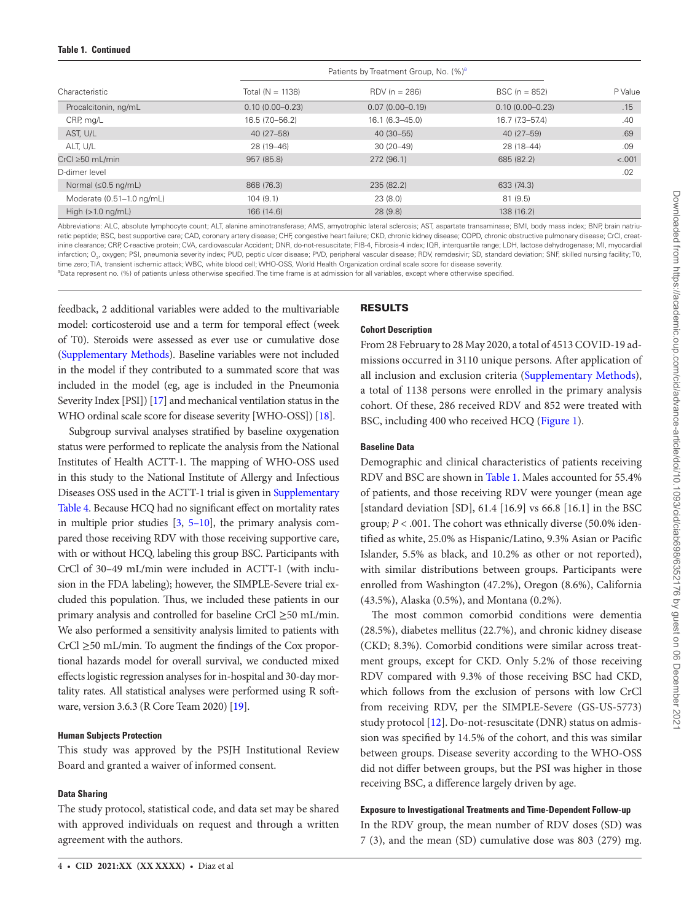| Characteristic                    | Patients by Treatment Group, No. (%) <sup>a</sup> |                     |                     |         |
|-----------------------------------|---------------------------------------------------|---------------------|---------------------|---------|
|                                   | Total $(N = 1138)$                                | $RDV (n = 286)$     | $BSC (n = 852)$     | P Value |
| Procalcitonin, ng/mL              | $0.10(0.00 - 0.23)$                               | $0.07(0.00 - 0.19)$ | $0.10(0.00 - 0.23)$ | .15     |
| CRP, mg/L                         | 16.5 (7.0–56.2)                                   | $16.1(6.3 - 45.0)$  | 16.7 (7.3-57.4)     | .40     |
| AST, U/L                          | 40 (27-58)                                        | 40 (30-55)          | 40 (27–59)          | .69     |
| ALT, U/L                          | 28 (19-46)                                        | $30(20-49)$         | 28 (18-44)          | .09     |
| $CrCl \geq 50$ mL/min             | 957 (85.8)                                        | 272 (96.1)          | 685 (82.2)          | < .001  |
| D-dimer level                     |                                                   |                     |                     | .02     |
| Normal $(\leq 0.5 \text{ ng/mL})$ | 868 (76.3)                                        | 235 (82.2)          | 633 (74.3)          |         |
| Moderate (0.51-1.0 ng/mL)         | 104(9.1)                                          | 23(8.0)             | 81(9.5)             |         |
| High $(>1.0 \text{ ng/mL})$       | 166 (14.6)                                        | 28(9.8)             | 138 (16.2)          |         |
|                                   |                                                   |                     |                     |         |

Abbreviations: ALC, absolute lymphocyte count; ALT, alanine aminotransferase; AMS, amyotrophic lateral sclerosis; AST, aspartate transaminase; BMI, body mass index; BNP, brain natriuretic peptide; BSC, best supportive care; CAD, coronary artery disease; CHF, congestive heart failure; CKD, chronic kidney disease; COPD, chronic obstructive pulmonary disease; CrCl, creatinine clearance; CRP, C-reactive protein; CVA, cardiovascular Accident; DNR, do-not-resuscitate; FIB-4, Fibrosis-4 index; IQR, interquartile range; LDH, lactose dehydrogenase; MI, myocardial infarction; O $_{\rm 2}$ , oxygen; PSI, pneumonia severity index; PUD, peptic ulcer disease; PVD, peripheral vascular disease; RDV, remdesivir; SD, standard deviation; SNF, skilled nursing facility; T0, time zero; TIA, transient ischemic attack; WBC, white blood cell; WHO-OSS, World Health Organization ordinal scale score for disease severity.

<span id="page-3-0"></span><sup>a</sup>Data represent no. (%) of patients unless otherwise specified. The time frame is at admission for all variables, except where otherwise specified.

feedback, 2 additional variables were added to the multivariable model: corticosteroid use and a term for temporal effect (week of T0). Steroids were assessed as ever use or cumulative dose [\(Supplementary Methods\)](http://academic.oup.com/cid/article-lookup/doi/10.1093/cid/ciab698#supplementary-data). Baseline variables were not included in the model if they contributed to a summated score that was included in the model (eg, age is included in the Pneumonia Severity Index [PSI]) [\[17\]](#page-8-12) and mechanical ventilation status in the WHO ordinal scale score for disease severity [WHO-OSS]) [[18](#page-8-13)].

Subgroup survival analyses stratified by baseline oxygenation status were performed to replicate the analysis from the National Institutes of Health ACTT-1. The mapping of WHO-OSS used in this study to the National Institute of Allergy and Infectious Diseases OSS used in the ACTT-1 trial is given in [Supplementary](http://academic.oup.com/cid/article-lookup/doi/10.1093/cid/ciab698#supplementary-data)  [Table 4](http://academic.oup.com/cid/article-lookup/doi/10.1093/cid/ciab698#supplementary-data). Because HCQ had no significant effect on mortality rates in multiple prior studies [[3,](#page-8-2) [5](#page-8-4)[–10\]](#page-8-5), the primary analysis compared those receiving RDV with those receiving supportive care, with or without HCQ, labeling this group BSC. Participants with CrCl of 30–49 mL/min were included in ACTT-1 (with inclusion in the FDA labeling); however, the SIMPLE-Severe trial excluded this population. Thus, we included these patients in our primary analysis and controlled for baseline CrCl ≥50 mL/min. We also performed a sensitivity analysis limited to patients with CrCl ≥50 mL/min. To augment the findings of the Cox proportional hazards model for overall survival, we conducted mixed effects logistic regression analyses for in-hospital and 30-day mortality rates. All statistical analyses were performed using R software, version 3.6.3 (R Core Team 2020) [\[19\]](#page-8-14).

## **Human Subjects Protection**

This study was approved by the PSJH Institutional Review Board and granted a waiver of informed consent.

# **Data Sharing**

The study protocol, statistical code, and data set may be shared with approved individuals on request and through a written agreement with the authors.

# RESULTS

# **Cohort Description**

From 28 February to 28 May 2020, a total of 4513 COVID-19 admissions occurred in 3110 unique persons. After application of all inclusion and exclusion criteria [\(Supplementary Methods](http://academic.oup.com/cid/article-lookup/doi/10.1093/cid/ciab698#supplementary-data)), a total of 1138 persons were enrolled in the primary analysis cohort. Of these, 286 received RDV and 852 were treated with BSC, including 400 who received HCQ [\(Figure 1](#page-4-0)).

# **Baseline Data**

Demographic and clinical characteristics of patients receiving RDV and BSC are shown in [Table 1](#page-2-0). Males accounted for 55.4% of patients, and those receiving RDV were younger (mean age [standard deviation [SD], 61.4 [16.9] vs 66.8 [16.1] in the BSC group*; P* < .001. The cohort was ethnically diverse (50.0% identified as white, 25.0% as Hispanic/Latino, 9.3% Asian or Pacific Islander, 5.5% as black, and 10.2% as other or not reported), with similar distributions between groups. Participants were enrolled from Washington (47.2%), Oregon (8.6%), California (43.5%), Alaska (0.5%), and Montana (0.2%).

The most common comorbid conditions were dementia (28.5%), diabetes mellitus (22.7%), and chronic kidney disease (CKD; 8.3%). Comorbid conditions were similar across treatment groups, except for CKD. Only 5.2% of those receiving RDV compared with 9.3% of those receiving BSC had CKD, which follows from the exclusion of persons with low CrCl from receiving RDV, per the SIMPLE-Severe (GS-US-5773) study protocol [[12\]](#page-8-7). Do-not-resuscitate (DNR) status on admission was specified by 14.5% of the cohort, and this was similar between groups. Disease severity according to the WHO-OSS did not differ between groups, but the PSI was higher in those receiving BSC, a difference largely driven by age.

# **Exposure to Investigational Treatments and Time-Dependent Follow-up**

In the RDV group, the mean number of RDV doses (SD) was 7 (3), and the mean (SD) cumulative dose was 803 (279) mg.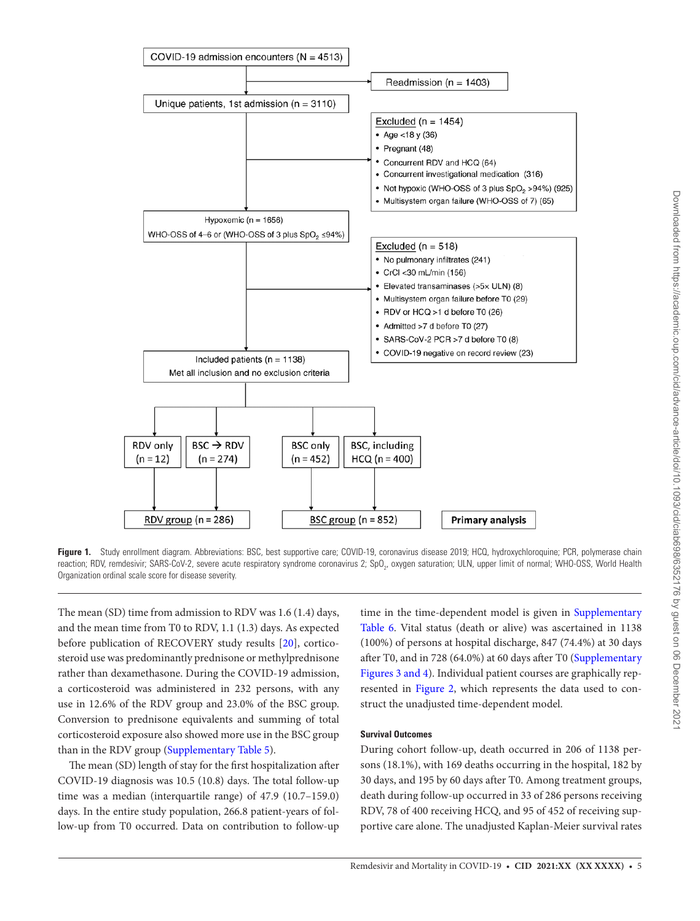

<span id="page-4-0"></span>Figure 1. Study enrollment diagram. Abbreviations: BSC, best supportive care; COVID-19, coronavirus disease 2019; HCQ, hydroxychloroquine; PCR, polymerase chain reaction; RDV, remdesivir; SARS-CoV-2, severe acute respiratory syndrome coronavirus 2; SpO<sub>2</sub>, oxygen saturation; ULN, upper limit of normal; WHO-OSS, World Health Organization ordinal scale score for disease severity.

The mean (SD) time from admission to RDV was 1.6 (1.4) days, and the mean time from T0 to RDV, 1.1 (1.3) days. As expected before publication of RECOVERY study results [\[20](#page-8-15)], corticosteroid use was predominantly prednisone or methylprednisone rather than dexamethasone. During the COVID-19 admission, a corticosteroid was administered in 232 persons, with any use in 12.6% of the RDV group and 23.0% of the BSC group. Conversion to prednisone equivalents and summing of total corticosteroid exposure also showed more use in the BSC group than in the RDV group [\(Supplementary Table 5\)](http://academic.oup.com/cid/article-lookup/doi/10.1093/cid/ciab698#supplementary-data).

The mean (SD) length of stay for the first hospitalization after COVID-19 diagnosis was 10.5 (10.8) days. The total follow-up time was a median (interquartile range) of 47.9 (10.7–159.0) days. In the entire study population, 266.8 patient-years of follow-up from T0 occurred. Data on contribution to follow-up

time in the time-dependent model is given in Supplementary [Table 6](http://academic.oup.com/cid/article-lookup/doi/10.1093/cid/ciab698#supplementary-data). Vital status (death or alive) was ascertained in 1138 (100%) of persons at hospital discharge, 847 (74.4%) at 30 days after T0, and in 728 (64.0%) at 60 days after T0 [\(Supplementary](http://academic.oup.com/cid/article-lookup/doi/10.1093/cid/ciab698#supplementary-data)  [Figures 3 and 4\)](http://academic.oup.com/cid/article-lookup/doi/10.1093/cid/ciab698#supplementary-data). Individual patient courses are graphically represented in [Figure 2](#page-5-0), which represents the data used to construct the unadjusted time-dependent model.

## **Survival Outcomes**

During cohort follow-up, death occurred in 206 of 1138 persons (18.1%), with 169 deaths occurring in the hospital, 182 by 30 days, and 195 by 60 days after T0. Among treatment groups, death during follow-up occurred in 33 of 286 persons receiving RDV, 78 of 400 receiving HCQ, and 95 of 452 of receiving supportive care alone. The unadjusted Kaplan-Meier survival rates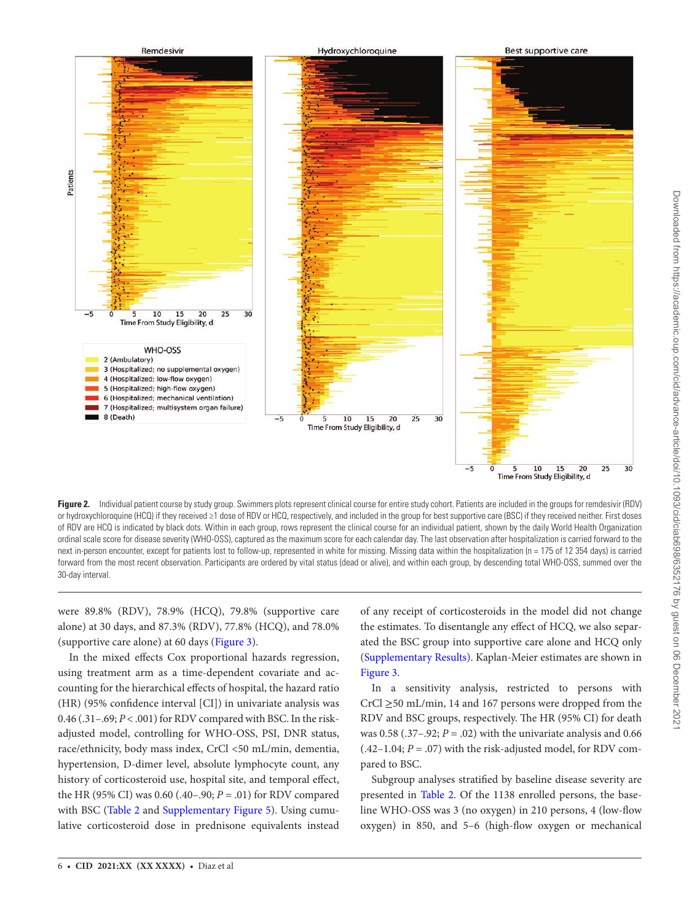

<span id="page-5-0"></span>**Figure 2.** Individual patient course by study group. Swimmers plots represent clinical course for entire study cohort. Patients are included in the groups for remdesivir (RDV) or hydroxychloroquine (HCQ) if they received ≥1 dose of RDV or HCQ, respectively, and included in the group for best supportive care (BSC) if they received neither. First doses of RDV are HCQ is indicated by black dots. Within in each group, rows represent the clinical course for an individual patient, shown by the daily World Health Organization ordinal scale score for disease severity (WHO-OSS), captured as the maximum score for each calendar day. The last observation after hospitalization is carried forward to the next in-person encounter, except for patients lost to follow-up, represented in white for missing. Missing data within the hospitalization (n = 175 of 12 354 days) is carried forward from the most recent observation. Participants are ordered by vital status (dead or alive), and within each group, by descending total WHO-OSS, summed over the 30-day interval.

were 89.8% (RDV), 78.9% (HCQ), 79.8% (supportive care alone) at 30 days, and 87.3% (RDV), 77.8% (HCQ), and 78.0% (supportive care alone) at 60 days [\(Figure 3\)](#page-6-0).

In the mixed effects Cox proportional hazards regression, using treatment arm as a time-dependent covariate and accounting for the hierarchical effects of hospital, the hazard ratio (HR) (95% confidence interval [CI]) in univariate analysis was 0.46 (.31–.69; *P* < .001) for RDV compared with BSC. In the riskadjusted model, controlling for WHO-OSS, PSI, DNR status, race/ethnicity, body mass index, CrCl <50 mL/min, dementia, hypertension, D-dimer level, absolute lymphocyte count, any history of corticosteroid use, hospital site, and temporal effect, the HR (95% CI) was 0.60 (.40–.90; *P* = .01) for RDV compared with BSC [\(Table 2](#page-6-1) and [Supplementary Figure 5](http://academic.oup.com/cid/article-lookup/doi/10.1093/cid/ciab698#supplementary-data)). Using cumulative corticosteroid dose in prednisone equivalents instead of any receipt of corticosteroids in the model did not change the estimates. To disentangle any effect of HCQ, we also separated the BSC group into supportive care alone and HCQ only [\(Supplementary Results](http://academic.oup.com/cid/article-lookup/doi/10.1093/cid/ciab698#supplementary-data)). Kaplan-Meier estimates are shown in [Figure 3](#page-6-0).

In a sensitivity analysis, restricted to persons with CrCl ≥50 mL/min, 14 and 167 persons were dropped from the RDV and BSC groups, respectively. The HR (95% CI) for death was  $0.58$  (.37–.92; *P* = .02) with the univariate analysis and 0.66  $(.42-1.04; P = .07)$  with the risk-adjusted model, for RDV compared to BSC.

Subgroup analyses stratified by baseline disease severity are presented in [Table 2](#page-6-1). Of the 1138 enrolled persons, the baseline WHO-OSS was 3 (no oxygen) in 210 persons, 4 (low-flow oxygen) in 850, and 5–6 (high-flow oxygen or mechanical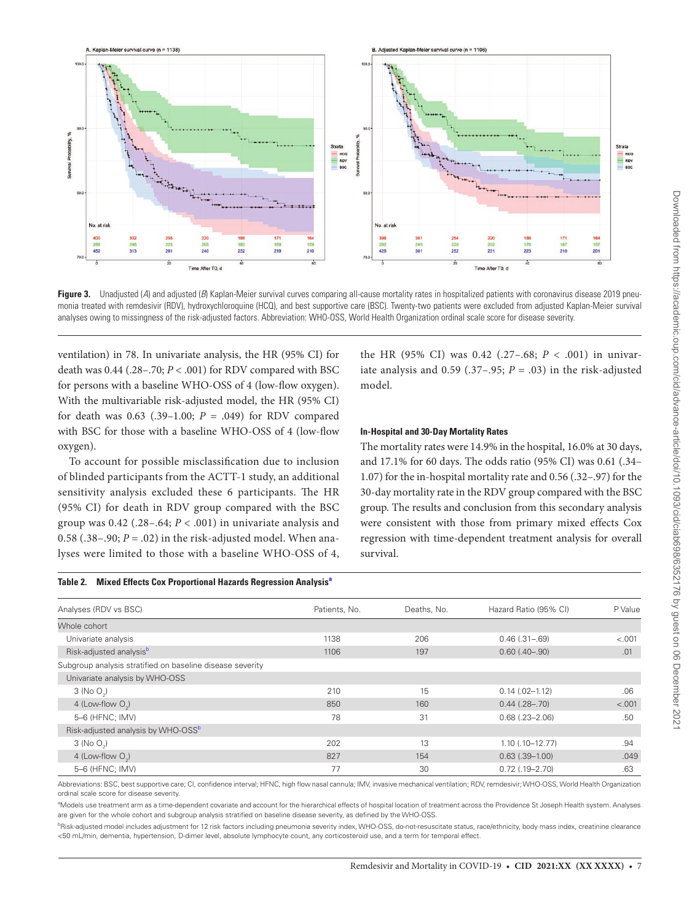

<span id="page-6-0"></span>Figure 3. Unadjusted (A) and adjusted (B) Kaplan-Meier survival curves comparing all-cause mortality rates in hospitalized patients with coronavirus disease 2019 pneumonia treated with remdesivir (RDV), hydroxychloroquine (HCQ), and best supportive care (BSC). Twenty-two patients were excluded from adjusted Kaplan-Meier survival analyses owing to missingness of the risk-adjusted factors. Abbreviation: WHO-OSS, World Health Organization ordinal scale score for disease severity.

ventilation) in 78. In univariate analysis, the HR (95% CI) for death was 0.44 (.28–.70; *P* < .001) for RDV compared with BSC for persons with a baseline WHO-OSS of 4 (low-flow oxygen). With the multivariable risk-adjusted model, the HR (95% CI) for death was  $0.63$  (.39-1.00;  $P = .049$ ) for RDV compared with BSC for those with a baseline WHO-OSS of 4 (low-flow oxygen).

To account for possible misclassification due to inclusion of blinded participants from the ACTT-1 study, an additional sensitivity analysis excluded these 6 participants. The HR (95% CI) for death in RDV group compared with the BSC group was  $0.42$  (.28–.64;  $P < .001$ ) in univariate analysis and 0.58 (.38–.90;  $P = .02$ ) in the risk-adjusted model. When analyses were limited to those with a baseline WHO-OSS of 4,

the HR (95% CI) was 0.42 (.27-.68;  $P < .001$ ) in univariate analysis and  $0.59$  (.37–.95;  $P = .03$ ) in the risk-adjusted model.

## **In-Hospital and 30-Day Mortality Rates**

The mortality rates were 14.9% in the hospital, 16.0% at 30 days, and 17.1% for 60 days. The odds ratio (95% CI) was 0.61 (.34– 1.07) for the in-hospital mortality rate and 0.56 (.32–.97) for the 30-day mortality rate in the RDV group compared with the BSC group. The results and conclusion from this secondary analysis were consistent with those from primary mixed effects Cox regression with time-dependent treatment analysis for overall survival.

<span id="page-6-1"></span>

|  |  |  | Table 2. Mixed Effects Cox Proportional Hazards Regression Analysis <sup>a</sup> |  |
|--|--|--|----------------------------------------------------------------------------------|--|
|--|--|--|----------------------------------------------------------------------------------|--|

| Analyses (RDV vs BSC)                                     | Patients, No. | Deaths, No. | Hazard Ratio (95% CI) | P Value |
|-----------------------------------------------------------|---------------|-------------|-----------------------|---------|
| Whole cohort                                              |               |             |                       |         |
| Univariate analysis                                       | 1138          | 206         | $0.46$ $(.31-.69)$    | < .001  |
| Risk-adjusted analysisb                                   | 1106          | 197         | $0.60(.40-.90)$       | .01     |
| Subgroup analysis stratified on baseline disease severity |               |             |                       |         |
| Univariate analysis by WHO-OSS                            |               |             |                       |         |
| $3$ (No O <sub>2</sub> )                                  | 210           | 15          | $0.14$ $(.02-1.12)$   | .06     |
| 4 (Low-flow $O_2$ )                                       | 850           | 160         | $0.44$ $(.28-.70)$    | < .001  |
| 5-6 (HFNC; IMV)                                           | 78            | 31          | $0.68$ $(.23 - 2.06)$ | .50     |
| Risk-adjusted analysis by WHO-OSS <sup>b</sup>            |               |             |                       |         |
| $3$ (No O <sub>2</sub> )                                  | 202           | 13          | $1.10$ $(.10-12.77)$  | .94     |
| 4 (Low-flow $O2$ )                                        | 827           | 154         | $0.63$ $(.39-1.00)$   | .049    |
| 5-6 (HFNC; IMV)                                           | 77            | 30          | $0.72$ $(.19-2.70)$   | .63     |
|                                                           |               |             |                       |         |

Abbreviations: BSC, best supportive care; CI, confidence interval; HFNC, high flow nasal cannula; IMV, invasive mechanical ventilation; RDV, remdesivir; WHO-OSS, World Health Organization ordinal scale score for disease severity.

<span id="page-6-2"></span>a Models use treatment arm as a time-dependent covariate and account for the hierarchical effects of hospital location of treatment across the Providence St Joseph Health system. Analyses are given for the whole cohort and subgroup analysis stratified on baseline disease severity, as defined by the WHO-OSS.

<span id="page-6-3"></span><sup>b</sup>Risk-adjusted model includes adjustment for 12 risk factors including pneumonia severity index, WHO-OSS, do-not-resuscitate status, race/ethnicity, body mass index, creatinine clearance <50 mL/min, dementia, hypertension, D-dimer level, absolute lymphocyte count, any corticosteroid use, and a term for temporal effect.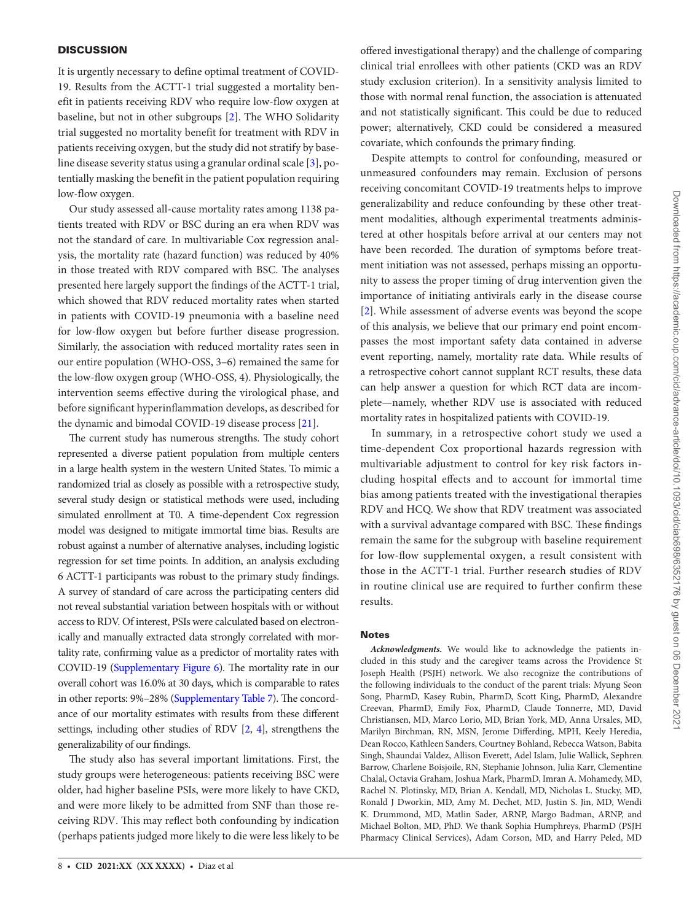## **DISCUSSION**

It is urgently necessary to define optimal treatment of COVID-19. Results from the ACTT-1 trial suggested a mortality benefit in patients receiving RDV who require low-flow oxygen at baseline, but not in other subgroups [\[2](#page-8-1)]. The WHO Solidarity trial suggested no mortality benefit for treatment with RDV in patients receiving oxygen, but the study did not stratify by baseline disease severity status using a granular ordinal scale [[3\]](#page-8-2), potentially masking the benefit in the patient population requiring low-flow oxygen.

Our study assessed all-cause mortality rates among 1138 patients treated with RDV or BSC during an era when RDV was not the standard of care. In multivariable Cox regression analysis, the mortality rate (hazard function) was reduced by 40% in those treated with RDV compared with BSC. The analyses presented here largely support the findings of the ACTT-1 trial, which showed that RDV reduced mortality rates when started in patients with COVID-19 pneumonia with a baseline need for low-flow oxygen but before further disease progression. Similarly, the association with reduced mortality rates seen in our entire population (WHO-OSS, 3–6) remained the same for the low-flow oxygen group (WHO-OSS, 4). Physiologically, the intervention seems effective during the virological phase, and before significant hyperinflammation develops, as described for the dynamic and bimodal COVID-19 disease process [\[21](#page-8-16)].

The current study has numerous strengths. The study cohort represented a diverse patient population from multiple centers in a large health system in the western United States. To mimic a randomized trial as closely as possible with a retrospective study, several study design or statistical methods were used, including simulated enrollment at T0. A time-dependent Cox regression model was designed to mitigate immortal time bias. Results are robust against a number of alternative analyses, including logistic regression for set time points. In addition, an analysis excluding 6 ACTT-1 participants was robust to the primary study findings. A survey of standard of care across the participating centers did not reveal substantial variation between hospitals with or without access to RDV. Of interest, PSIs were calculated based on electronically and manually extracted data strongly correlated with mortality rate, confirming value as a predictor of mortality rates with COVID-19 ([Supplementary Figure 6\)](http://academic.oup.com/cid/article-lookup/doi/10.1093/cid/ciab698#supplementary-data). The mortality rate in our overall cohort was 16.0% at 30 days, which is comparable to rates in other reports: 9%–28% [\(Supplementary Table 7](http://academic.oup.com/cid/article-lookup/doi/10.1093/cid/ciab698#supplementary-data)). The concordance of our mortality estimates with results from these different settings, including other studies of RDV [\[2](#page-8-1), [4](#page-8-3)], strengthens the generalizability of our findings.

The study also has several important limitations. First, the study groups were heterogeneous: patients receiving BSC were older, had higher baseline PSIs, were more likely to have CKD, and were more likely to be admitted from SNF than those receiving RDV. This may reflect both confounding by indication (perhaps patients judged more likely to die were less likely to be offered investigational therapy) and the challenge of comparing clinical trial enrollees with other patients (CKD was an RDV study exclusion criterion). In a sensitivity analysis limited to those with normal renal function, the association is attenuated and not statistically significant. This could be due to reduced power; alternatively, CKD could be considered a measured covariate, which confounds the primary finding.

Despite attempts to control for confounding, measured or unmeasured confounders may remain. Exclusion of persons receiving concomitant COVID-19 treatments helps to improve generalizability and reduce confounding by these other treatment modalities, although experimental treatments administered at other hospitals before arrival at our centers may not have been recorded. The duration of symptoms before treatment initiation was not assessed, perhaps missing an opportunity to assess the proper timing of drug intervention given the importance of initiating antivirals early in the disease course [\[2\]](#page-8-1). While assessment of adverse events was beyond the scope of this analysis, we believe that our primary end point encompasses the most important safety data contained in adverse event reporting, namely, mortality rate data. While results of a retrospective cohort cannot supplant RCT results, these data can help answer a question for which RCT data are incomplete—namely, whether RDV use is associated with reduced mortality rates in hospitalized patients with COVID-19.

In summary, in a retrospective cohort study we used a time-dependent Cox proportional hazards regression with multivariable adjustment to control for key risk factors including hospital effects and to account for immortal time bias among patients treated with the investigational therapies RDV and HCQ. We show that RDV treatment was associated with a survival advantage compared with BSC. These findings remain the same for the subgroup with baseline requirement for low-flow supplemental oxygen, a result consistent with those in the ACTT-1 trial. Further research studies of RDV in routine clinical use are required to further confirm these results.

#### Notes

*Acknowledgments.* We would like to acknowledge the patients included in this study and the caregiver teams across the Providence St Joseph Health (PSJH) network. We also recognize the contributions of the following individuals to the conduct of the parent trials: Myung Seon Song, PharmD, Kasey Rubin, PharmD, Scott King, PharmD, Alexandre Creevan, PharmD, Emily Fox, PharmD, Claude Tonnerre, MD, David Christiansen, MD, Marco Lorio, MD, Brian York, MD, Anna Ursales, MD, Marilyn Birchman, RN, MSN, Jerome Differding, MPH, Keely Heredia, Dean Rocco, Kathleen Sanders, Courtney Bohland, Rebecca Watson, Babita Singh, Shaundai Valdez, Allison Everett, Adel Islam, Julie Wallick, Sephren Barrow, Charlene Boisjoile, RN, Stephanie Johnson, Julia Karr, Clementine Chalal, Octavia Graham, Joshua Mark, PharmD, Imran A. Mohamedy, MD, Rachel N. Plotinsky, MD, Brian A. Kendall, MD, Nicholas L. Stucky, MD, Ronald J Dworkin, MD, Amy M. Dechet, MD, Justin S. Jin, MD, Wendi K. Drummond, MD, Matlin Sader, ARNP, Margo Badman, ARNP, and Michael Bolton, MD, PhD. We thank Sophia Humphreys, PharmD (PSJH Pharmacy Clinical Services), Adam Corson, MD, and Harry Peled, MD